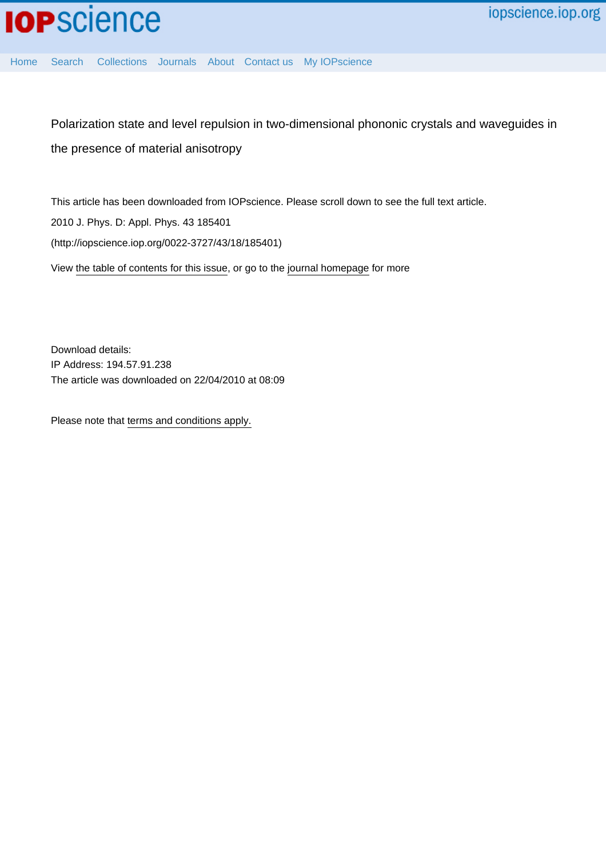

[Home](http://iopscience.iop.org/) [Search](http://iopscience.iop.org/search) [Collections](http://iopscience.iop.org/collections) [Journals](http://iopscience.iop.org/journals) [About](http://iopscience.iop.org/page/aboutioppublishing) [Contact us](http://iopscience.iop.org/contact) [My IOPscience](http://iopscience.iop.org/myiopscience)

Polarization state and level repulsion in two-dimensional phononic crystals and waveguides in the presence of material anisotropy

This article has been downloaded from IOPscience. Please scroll down to see the full text article. 2010 J. Phys. D: Appl. Phys. 43 185401 (http://iopscience.iop.org/0022-3727/43/18/185401) View [the table of contents for this issue](http://iopscience.iop.org/0022-3727/43/18), or go to the [journal homepage](http://iopscience.iop.org/0022-3727) for more

Download details: IP Address: 194.57.91.238 The article was downloaded on 22/04/2010 at 08:09

Please note that [terms and conditions apply.](http://iopscience.iop.org/page/terms)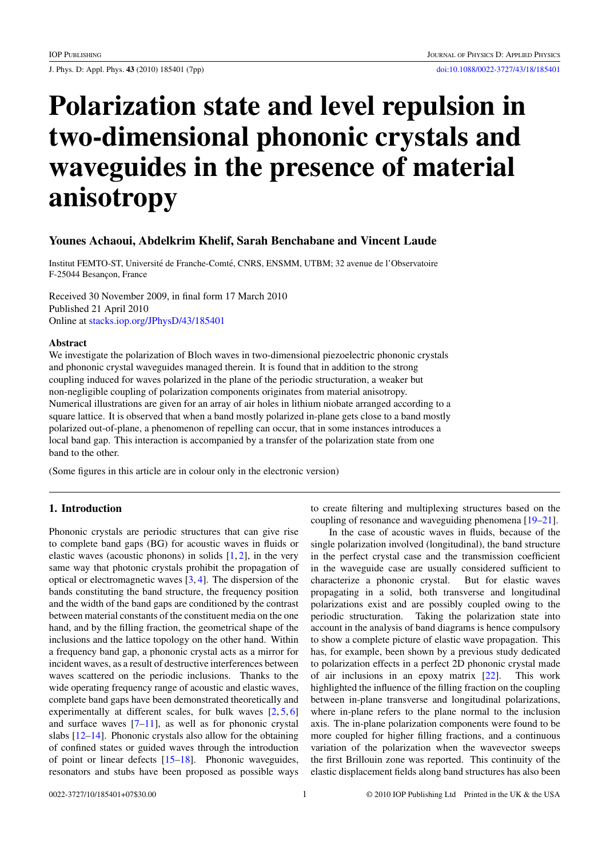J. Phys. D: Appl. Phys. **43** (2010) 185401 (7pp) [doi:10.1088/0022-3727/43/18/185401](http://dx.doi.org/10.1088/0022-3727/43/18/185401)

# **Polarization state and level repulsion in two-dimensional phononic crystals and waveguides in the presence of material anisotropy**

# **Younes Achaoui, Abdelkrim Khelif, Sarah Benchabane and Vincent Laude**

Institut FEMTO-ST, Université de Franche-Comté, CNRS, ENSMM, UTBM; 32 avenue de l'Observatoire F-25044 Besançon, France

Received 30 November 2009, in final form 17 March 2010 Published 21 April 2010 Online at [stacks.iop.org/JPhysD/43/185401](http://stacks.iop.org/JPhysD/43/185401)

#### **Abstract**

We investigate the polarization of Bloch waves in two-dimensional piezoelectric phononic crystals and phononic crystal waveguides managed therein. It is found that in addition to the strong coupling induced for waves polarized in the plane of the periodic structuration, a weaker but non-negligible coupling of polarization components originates from material anisotropy. Numerical illustrations are given for an array of air holes in lithium niobate arranged according to a square lattice. It is observed that when a band mostly polarized in-plane gets close to a band mostly polarized out-of-plane, a phenomenon of repelling can occur, that in some instances introduces a local band gap. This interaction is accompanied by a transfer of the polarization state from one band to the other.

(Some figures in this article are in colour only in the electronic version)

## **1. Introduction**

Phononic crystals are periodic structures that can give rise to complete band gaps (BG) for acoustic waves in fluids or elastic waves (acoustic phonons) in solids  $[1, 2]$  $[1, 2]$  $[1, 2]$ , in the very same way that photonic crystals prohibit the propagation of optical or electromagnetic waves [\[3,](#page-7-0) [4\]](#page-7-0). The dispersion of the bands constituting the band structure, the frequency position and the width of the band gaps are conditioned by the contrast between material constants of the constituent media on the one hand, and by the filling fraction, the geometrical shape of the inclusions and the lattice topology on the other hand. Within a frequency band gap, a phononic crystal acts as a mirror for incident waves, as a result of destructive interferences between waves scattered on the periodic inclusions. Thanks to the wide operating frequency range of acoustic and elastic waves, complete band gaps have been demonstrated theoretically and experimentally at different scales, for bulk waves  $[2, 5, 6]$  $[2, 5, 6]$  $[2, 5, 6]$  $[2, 5, 6]$  $[2, 5, 6]$ and surface waves  $[7-11]$ , as well as for phononic crystal slabs [\[12–14\]](#page-7-0). Phononic crystals also allow for the obtaining of confined states or guided waves through the introduction of point or linear defects [\[15–18\]](#page-7-0). Phononic waveguides, resonators and stubs have been proposed as possible ways

to create filtering and multiplexing structures based on the coupling of resonance and waveguiding phenomena [\[19–21\]](#page-7-0).

In the case of acoustic waves in fluids, because of the single polarization involved (longitudinal), the band structure in the perfect crystal case and the transmission coefficient in the waveguide case are usually considered sufficient to characterize a phononic crystal. But for elastic waves propagating in a solid, both transverse and longitudinal polarizations exist and are possibly coupled owing to the periodic structuration. Taking the polarization state into account in the analysis of band diagrams is hence compulsory to show a complete picture of elastic wave propagation. This has, for example, been shown by a previous study dedicated to polarization effects in a perfect 2D phononic crystal made of air inclusions in an epoxy matrix [\[22\]](#page-7-0). This work highlighted the influence of the filling fraction on the coupling between in-plane transverse and longitudinal polarizations, where in-plane refers to the plane normal to the inclusion axis. The in-plane polarization components were found to be more coupled for higher filling fractions, and a continuous variation of the polarization when the wavevector sweeps the first Brillouin zone was reported. This continuity of the elastic displacement fields along band structures has also been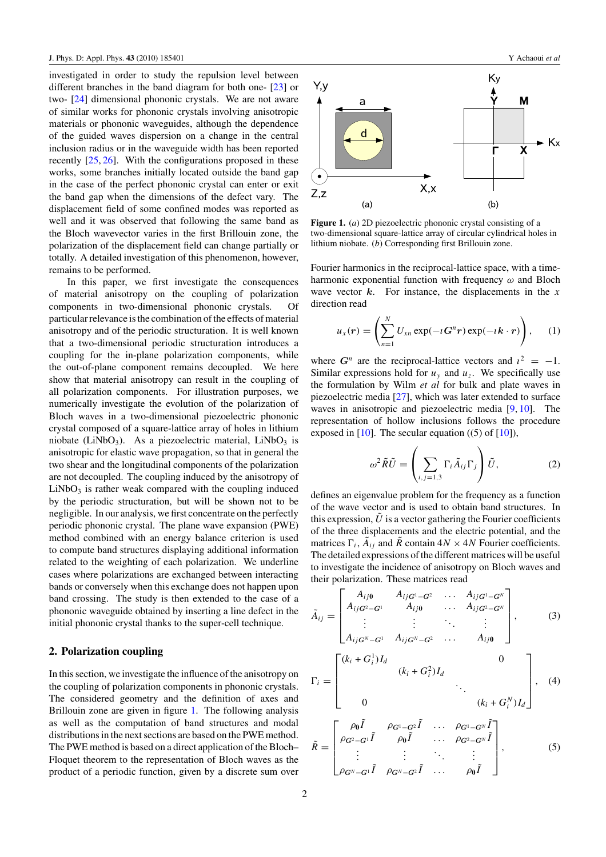<span id="page-2-0"></span>investigated in order to study the repulsion level between different branches in the band diagram for both one- [\[23\]](#page-7-0) or two- [\[24\]](#page-7-0) dimensional phononic crystals. We are not aware of similar works for phononic crystals involving anisotropic materials or phononic waveguides, although the dependence of the guided waves dispersion on a change in the central inclusion radius or in the waveguide width has been reported recently [\[25,](#page-7-0) [26\]](#page-7-0). With the configurations proposed in these works, some branches initially located outside the band gap in the case of the perfect phononic crystal can enter or exit the band gap when the dimensions of the defect vary. The displacement field of some confined modes was reported as well and it was observed that following the same band as the Bloch wavevector varies in the first Brillouin zone, the polarization of the displacement field can change partially or totally. A detailed investigation of this phenomenon, however, remains to be performed.

In this paper, we first investigate the consequences of material anisotropy on the coupling of polarization components in two-dimensional phononic crystals. Of particular relevance is the combination of the effects of material anisotropy and of the periodic structuration. It is well known that a two-dimensional periodic structuration introduces a coupling for the in-plane polarization components, while the out-of-plane component remains decoupled. We here show that material anisotropy can result in the coupling of all polarization components. For illustration purposes, we numerically investigate the evolution of the polarization of Bloch waves in a two-dimensional piezoelectric phononic crystal composed of a square-lattice array of holes in lithium niobate (LiNbO<sub>3</sub>). As a piezoelectric material, LiNbO<sub>3</sub> is anisotropic for elastic wave propagation, so that in general the two shear and the longitudinal components of the polarization are not decoupled. The coupling induced by the anisotropy of  $LiNbO<sub>3</sub>$  is rather weak compared with the coupling induced by the periodic structuration, but will be shown not to be negligible. In our analysis, we first concentrate on the perfectly periodic phononic crystal. The plane wave expansion (PWE) method combined with an energy balance criterion is used to compute band structures displaying additional information related to the weighting of each polarization. We underline cases where polarizations are exchanged between interacting bands or conversely when this exchange does not happen upon band crossing. The study is then extended to the case of a phononic waveguide obtained by inserting a line defect in the initial phononic crystal thanks to the super-cell technique.

## **2. Polarization coupling**

In this section, we investigate the influence of the anisotropy on the coupling of polarization components in phononic crystals. The considered geometry and the definition of axes and Brillouin zone are given in figure 1. The following analysis as well as the computation of band structures and modal distributions in the next sections are based on the PWE method. The PWE method is based on a direct application of the Bloch– Floquet theorem to the representation of Bloch waves as the product of a periodic function, given by a discrete sum over



**Figure 1.** (*a*) 2D piezoelectric phononic crystal consisting of a two-dimensional square-lattice array of circular cylindrical holes in lithium niobate. (*b*) Corresponding first Brillouin zone.

Fourier harmonics in the reciprocal-lattice space, with a timeharmonic exponential function with frequency *ω* and Bloch wave vector *k*. For instance, the displacements in the *x* direction read

$$
u_x(\boldsymbol{r}) = \left(\sum_{n=1}^N U_{xn} \exp(-\iota \boldsymbol{G}^n \boldsymbol{r}) \exp(-\iota \boldsymbol{k} \cdot \boldsymbol{r})\right), \qquad (1)
$$

where  $G^n$  are the reciprocal-lattice vectors and  $i^2 = -1$ . Similar expressions hold for  $u<sub>y</sub>$  and  $u<sub>z</sub>$ . We specifically use the formulation by Wilm *et al* for bulk and plate waves in piezoelectric media [\[27\]](#page-7-0), which was later extended to surface waves in anisotropic and piezoelectric media [\[9,](#page-7-0) [10\]](#page-7-0). The representation of hollow inclusions follows the procedure exposed in  $[10]$ . The secular equation  $((5)$  of  $[10]$ ),

$$
\omega^2 \tilde{R}\tilde{U} = \left(\sum_{i,j=1,3} \Gamma_i \tilde{A}_{ij} \Gamma_j \right) \tilde{U},\tag{2}
$$

defines an eigenvalue problem for the frequency as a function of the wave vector and is used to obtain band structures. In this expression,  $U$  is a vector gathering the Fourier coefficients of the three displacements and the electric potential, and the matrices  $\Gamma_i$ ,  $A_{ij}$  and *R* contain  $4N \times 4N$  Fourier coefficients. The detailed expressions of the different matrices will be useful to investigate the incidence of anisotropy on Bloch waves and their polarization. These matrices read

$$
\tilde{A}_{ij} = \begin{bmatrix}\nA_{ij0} & A_{ijG^1 - G^2} & \dots & A_{ijG^1 - G^N} \\
A_{ijG^2 - G^1} & A_{ij0} & \dots & A_{ijG^2 - G^N} \\
\vdots & \vdots & \ddots & \vdots \\
A_{ijG^N - G^1} & A_{ijG^N - G^2} & \dots & A_{ij0}\n\end{bmatrix},
$$
\n(3)

$$
\Gamma_{i} = \begin{bmatrix} (k_{i} + G_{i}^{1})I_{d} & 0 \\ & (k_{i} + G_{i}^{2})I_{d} & 0 \\ & & \ddots & \\ 0 & & & (k_{i} + G_{i}^{N})I_{d} \end{bmatrix}, (4)
$$

$$
\tilde{R} = \begin{bmatrix}\n\rho_0 \tilde{I} & \rho_{G^1 - G^2} \tilde{I} & \cdots & \rho_{G^1 - G^N} \tilde{I} \\
\rho_{G^2 - G^1} \tilde{I} & \rho_0 \tilde{I} & \cdots & \rho_{G^2 - G^N} \tilde{I} \\
\vdots & \vdots & \ddots & \vdots \\
\rho_{G^N - G^1} \tilde{I} & \rho_{G^N - G^2} \tilde{I} & \cdots & \rho_0 \tilde{I}\n\end{bmatrix},
$$
\n(5)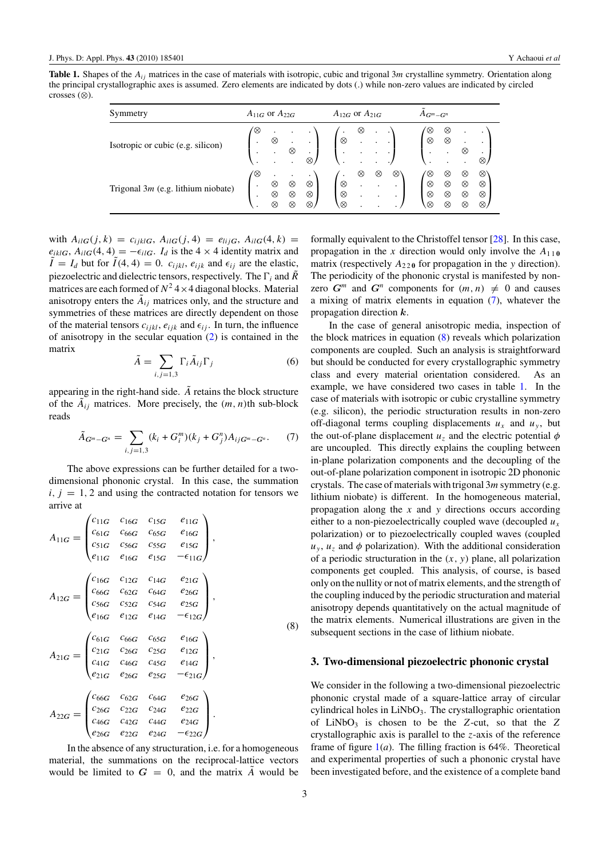**Table 1.** Shapes of the  $A_{ij}$  matrices in the case of materials with isotropic, cubic and trigonal 3*m* crystalline symmetry. Orientation along the principal crystallographic axes is assumed. Zero elements are indicated by dots (*.*) while non-zero values are indicated by circled crosses (⊗).

| Symmetry                             | $A_{11G}$ or $A_{22G}$                    |                          |                                          | $A_{12G}$ or $A_{21G}$    |                           |        | $A_{G^m-G^n}$                    |                  |                                    |                          |
|--------------------------------------|-------------------------------------------|--------------------------|------------------------------------------|---------------------------|---------------------------|--------|----------------------------------|------------------|------------------------------------|--------------------------|
| Isotropic or cubic (e.g. silicon)    | ⊗<br>⊗<br>$\cdot$<br>$\bullet$<br>$\cdot$ | $\cdot$<br>⊗             | $\cdot$<br>$\cdot$<br>⊗                  | ⊗                         | ⊗                         |        | Ø<br>⊗<br>$\bullet$<br>$\bullet$ | ⊗<br>$^{\circ}$  | ⊗                                  | $\cdot$<br>⊗.            |
| Trigonal $3m$ (e.g. lithium niobate) | '⊗<br>٠<br>⊗<br>٠<br>⊗<br>$\cdot$<br>⊗    | $\bullet$<br>⊗<br>⊗<br>⊗ | $\cdot$<br>$^{\circ}$<br>$^{\circ}$<br>⊗ | $\bullet$<br>⊗<br>⊗<br>.⊗ | ⊗<br>$\bullet$<br>$\cdot$ | ⊗<br>⊗ | ⊗<br>⊗<br>⊗<br>$\otimes$         | ⊗<br>⊗<br>⊗<br>⊗ | ⊗<br>$^{\circ}$<br>$^{\circ}$<br>⊗ | ⊗<br>⊗<br>⊗<br>$\otimes$ |

with  $A_{ilG}(j, k) = c_{ijklG}, A_{ilG}(j, 4) = e_{lijG}, A_{ilG}(4, k) = e_{iklG}, A_{ilG}(4, 4) = -\epsilon_{ilG}.$  *I<sub>d</sub>* is the  $4 \times 4$  identity matrix and  $\tilde{I} = I_d$  but for  $\tilde{I}(4, 4) = 0$ .  $c_{ijkl}$ ,  $e_{ijk}$  and  $\epsilon_{ij}$  are the elastic, piezoelectric and dielectric tensors, respectively. The  $\Gamma_i$  and  $R$ matrices are each formed of  $N^2$  4  $\times$  4 diagonal blocks. Material anisotropy enters the  $\tilde{A}_{ij}$  matrices only, and the structure and symmetries of these matrices are directly dependent on those of the material tensors  $c_{iikl}$ ,  $e_{iik}$  and  $\epsilon_{ij}$ . In turn, the influence of anisotropy in the secular equation [\(2\)](#page-2-0) is contained in the matrix

$$
\tilde{A} = \sum_{i,j=1,3} \Gamma_i \tilde{A}_{ij} \Gamma_j
$$
 (6)

appearing in the right-hand side.  $\tilde{A}$  retains the block structure of the  $A_{ij}$  matrices. More precisely, the  $(m, n)$ th sub-block reads

$$
\tilde{A}_{G^m - G^n} = \sum_{i,j=1,3} (k_i + G_i^m)(k_j + G_j^n) A_{ijG^m - G^n}.
$$
 (7)

The above expressions can be further detailed for a twodimensional phononic crystal. In this case, the summation  $i, j = 1, 2$  and using the contracted notation for tensors we arrive at

$$
A_{11G} = \begin{pmatrix} c_{11G} & c_{16G} & c_{15G} & e_{11G} \\ c_{61G} & c_{66G} & c_{65G} & e_{16G} \\ c_{51G} & c_{56G} & c_{55G} & e_{15G} \\ e_{11G} & e_{16G} & e_{15G} & -\epsilon_{11G} \end{pmatrix},
$$
  
\n
$$
A_{12G} = \begin{pmatrix} c_{16G} & c_{12G} & c_{14G} & e_{21G} \\ c_{66G} & c_{62G} & c_{64G} & e_{26G} \\ c_{56G} & c_{52G} & c_{54G} & e_{25G} \\ e_{16G} & e_{12G} & e_{14G} & -\epsilon_{12G} \end{pmatrix},
$$
  
\n
$$
A_{21G} = \begin{pmatrix} c_{61G} & c_{66G} & c_{65G} & e_{16G} \\ c_{21G} & c_{26G} & c_{25G} & e_{12G} \\ c_{41G} & c_{46G} & c_{45G} & e_{14G} \\ e_{21G} & e_{26G} & e_{25G} & -\epsilon_{21G} \end{pmatrix},
$$
  
\n
$$
A_{22G} = \begin{pmatrix} c_{66G} & c_{62G} & c_{64G} & e_{26G} \\ c_{26G} & c_{22G} & c_{24G} & e_{22G} \\ c_{46G} & c_{42G} & c_{44G} & e_{24G} \\ e_{26G} & e_{22G} & e_{24G} & -\epsilon_{22G} \end{pmatrix}.
$$

In the absence of any structuration, i.e. for a homogeneous material, the summations on the reciprocal-lattice vectors would be limited to  $G = 0$ , and the matrix  $\tilde{A}$  would be formally equivalent to the Christoffel tensor [\[28\]](#page-7-0). In this case, propagation in the *x* direction would only involve the  $A_{1,1,0}$ matrix (respectively  $A_{220}$  for propagation in the *y* direction). The periodicity of the phononic crystal is manifested by nonzero  $G^m$  and  $G^n$  components for  $(m, n) \neq 0$  and causes a mixing of matrix elements in equation (7), whatever the propagation direction *k*.

In the case of general anisotropic media, inspection of the block matrices in equation (8) reveals which polarization components are coupled. Such an analysis is straightforward but should be conducted for every crystallographic symmetry class and every material orientation considered. As an example, we have considered two cases in table 1. In the case of materials with isotropic or cubic crystalline symmetry (e.g. silicon), the periodic structuration results in non-zero off-diagonal terms coupling displacements  $u_x$  and  $u_y$ , but the out-of-plane displacement  $u<sub>z</sub>$  and the electric potential  $\phi$ are uncoupled. This directly explains the coupling between in-plane polarization components and the decoupling of the out-of-plane polarization component in isotropic 2D phononic crystals. The case of materials with trigonal 3*m*symmetry (e.g. lithium niobate) is different. In the homogeneous material, propagation along the *x* and *y* directions occurs according either to a non-piezoelectrically coupled wave (decoupled *ux* polarization) or to piezoelectrically coupled waves (coupled  $u_y$ ,  $u_z$  and  $\phi$  polarization). With the additional consideration of a periodic structuration in the *(x, y)* plane, all polarization components get coupled. This analysis, of course, is based only on the nullity or not of matrix elements, and the strength of the coupling induced by the periodic structuration and material anisotropy depends quantitatively on the actual magnitude of the matrix elements. Numerical illustrations are given in the subsequent sections in the case of lithium niobate.

#### **3. Two-dimensional piezoelectric phononic crystal**

We consider in the following a two-dimensional piezoelectric phononic crystal made of a square-lattice array of circular cylindrical holes in  $LiNbO<sub>3</sub>$ . The crystallographic orientation of LiNbO<sub>3</sub> is chosen to be the  $Z$ -cut, so that the  $Z$ crystallographic axis is parallel to the *z*-axis of the reference frame of figure [1\(](#page-2-0)*a*). The filling fraction is 64%. Theoretical and experimental properties of such a phononic crystal have been investigated before, and the existence of a complete band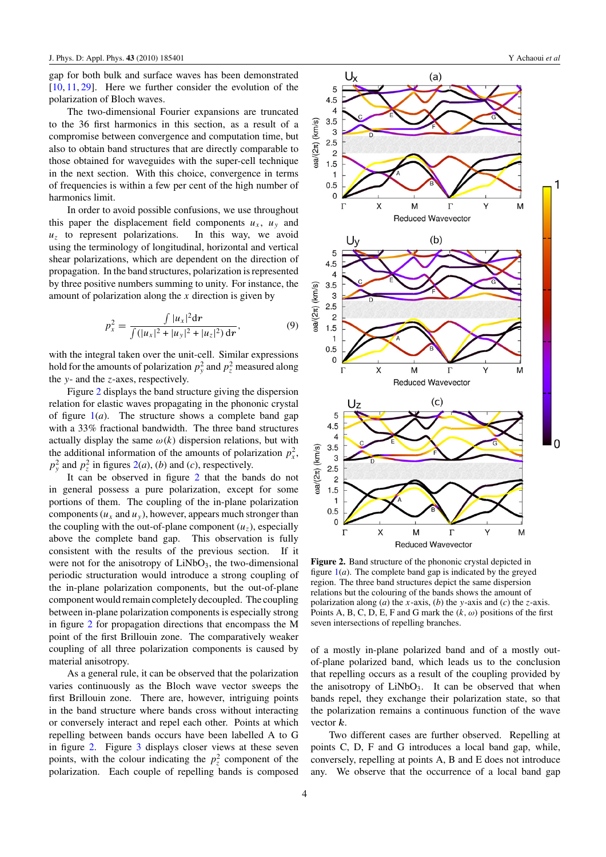<span id="page-4-0"></span>gap for both bulk and surface waves has been demonstrated [\[10,](#page-7-0) [11,](#page-7-0) [29\]](#page-7-0). Here we further consider the evolution of the polarization of Bloch waves.

The two-dimensional Fourier expansions are truncated to the 36 first harmonics in this section, as a result of a compromise between convergence and computation time, but also to obtain band structures that are directly comparable to those obtained for waveguides with the super-cell technique in the next section. With this choice, convergence in terms of frequencies is within a few per cent of the high number of harmonics limit.

In order to avoid possible confusions, we use throughout this paper the displacement field components  $u_x$ ,  $u_y$  and  $u<sub>z</sub>$  to represent polarizations. In this way, we avoid using the terminology of longitudinal, horizontal and vertical shear polarizations, which are dependent on the direction of propagation. In the band structures, polarization is represented by three positive numbers summing to unity. For instance, the amount of polarization along the *x* direction is given by

$$
p_x^2 = \frac{\int |u_x|^2 dr}{\int (|u_x|^2 + |u_y|^2 + |u_z|^2) dr},
$$
\n(9)

with the integral taken over the unit-cell. Similar expressions hold for the amounts of polarization  $p_y^2$  and  $p_z^2$  measured along the *y*- and the *z*-axes, respectively.

Figure 2 displays the band structure giving the dispersion relation for elastic waves propagating in the phononic crystal of figure  $1(a)$  $1(a)$ . The structure shows a complete band gap with a 33% fractional bandwidth. The three band structures actually display the same  $\omega(k)$  dispersion relations, but with the additional information of the amounts of polarization  $p_x^2$ ,  $p_y^2$  and  $p_z^2$  in figures 2(*a*), (*b*) and (*c*), respectively.

It can be observed in figure 2 that the bands do not in general possess a pure polarization, except for some portions of them. The coupling of the in-plane polarization components  $(u_x$  and  $u_y$ ), however, appears much stronger than the coupling with the out-of-plane component  $(u_7)$ , especially above the complete band gap. This observation is fully consistent with the results of the previous section. If it were not for the anisotropy of  $LiNbO<sub>3</sub>$ , the two-dimensional periodic structuration would introduce a strong coupling of the in-plane polarization components, but the out-of-plane component would remain completely decoupled. The coupling between in-plane polarization components is especially strong in figure 2 for propagation directions that encompass the M point of the first Brillouin zone. The comparatively weaker coupling of all three polarization components is caused by material anisotropy.

As a general rule, it can be observed that the polarization varies continuously as the Bloch wave vector sweeps the first Brillouin zone. There are, however, intriguing points in the band structure where bands cross without interacting or conversely interact and repel each other. Points at which repelling between bands occurs have been labelled A to G in figure 2. Figure [3](#page-5-0) displays closer views at these seven points, with the colour indicating the  $p_z^2$  component of the polarization. Each couple of repelling bands is composed



**Figure 2.** Band structure of the phononic crystal depicted in figure  $1(a)$  $1(a)$ . The complete band gap is indicated by the greyed region. The three band structures depict the same dispersion relations but the colouring of the bands shows the amount of polarization along (*a*) the *x*-axis, (*b*) the *y*-axis and (*c*) the *z*-axis. Points A, B, C, D, E, F and G mark the  $(k, \omega)$  positions of the first seven intersections of repelling branches.

of a mostly in-plane polarized band and of a mostly outof-plane polarized band, which leads us to the conclusion that repelling occurs as a result of the coupling provided by the anisotropy of  $LiNbO<sub>3</sub>$ . It can be observed that when bands repel, they exchange their polarization state, so that the polarization remains a continuous function of the wave vector *k*.

Two different cases are further observed. Repelling at points C, D, F and G introduces a local band gap, while, conversely, repelling at points A, B and E does not introduce any. We observe that the occurrence of a local band gap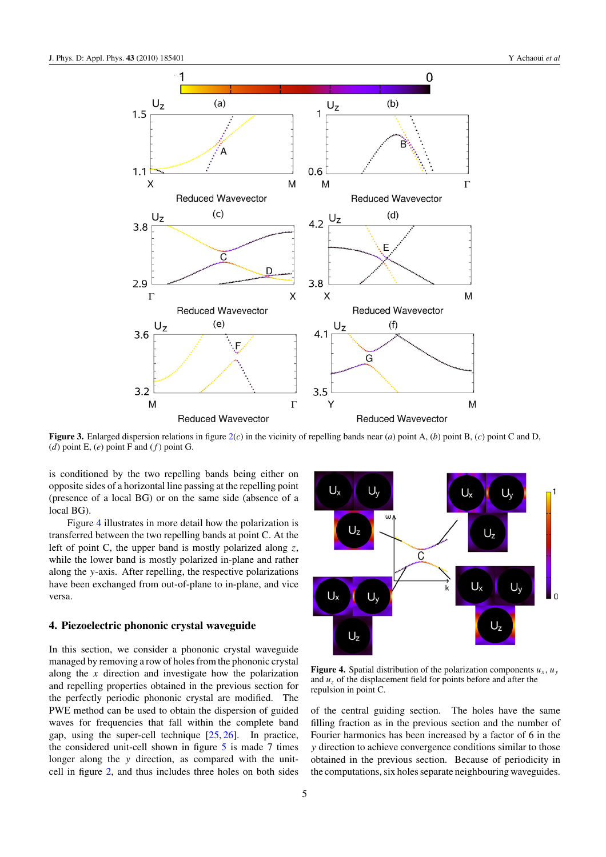<span id="page-5-0"></span>

**Figure 3.** Enlarged dispersion relations in figure  $2(c)$  $2(c)$  in the vicinity of repelling bands near (*a*) point A, (*b*) point B, (*c*) point C and D,  $(d)$  point E,  $(e)$  point F and  $(f)$  point G.

is conditioned by the two repelling bands being either on opposite sides of a horizontal line passing at the repelling point (presence of a local BG) or on the same side (absence of a local BG).

Figure 4 illustrates in more detail how the polarization is transferred between the two repelling bands at point C. At the left of point C, the upper band is mostly polarized along *z*, while the lower band is mostly polarized in-plane and rather along the *y*-axis. After repelling, the respective polarizations have been exchanged from out-of-plane to in-plane, and vice versa.

## **4. Piezoelectric phononic crystal waveguide**

In this section, we consider a phononic crystal waveguide managed by removing a row of holes from the phononic crystal along the *x* direction and investigate how the polarization and repelling properties obtained in the previous section for the perfectly periodic phononic crystal are modified. The PWE method can be used to obtain the dispersion of guided waves for frequencies that fall within the complete band gap, using the super-cell technique [\[25,](#page-7-0) [26\]](#page-7-0). In practice, the considered unit-cell shown in figure  $5$  is made  $7$  times longer along the *y* direction, as compared with the unitcell in figure [2,](#page-4-0) and thus includes three holes on both sides



**Figure 4.** Spatial distribution of the polarization components  $u_x$ ,  $u_y$ and  $u<sub>z</sub>$  of the displacement field for points before and after the repulsion in point C.

of the central guiding section. The holes have the same filling fraction as in the previous section and the number of Fourier harmonics has been increased by a factor of 6 in the *y* direction to achieve convergence conditions similar to those obtained in the previous section. Because of periodicity in the computations, six holes separate neighbouring waveguides.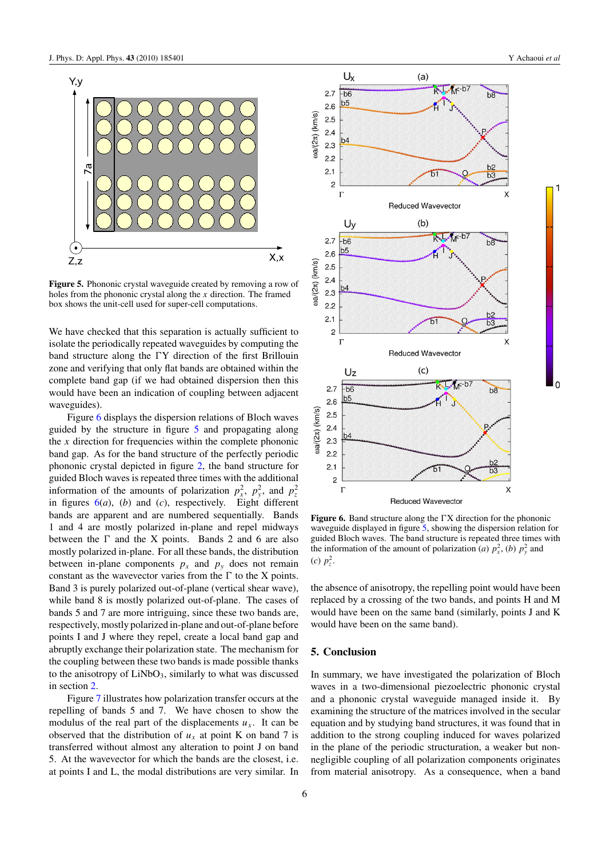<span id="page-6-0"></span>

**Figure 5.** Phononic crystal waveguide created by removing a row of holes from the phononic crystal along the *x* direction. The framed box shows the unit-cell used for super-cell computations.

We have checked that this separation is actually sufficient to isolate the periodically repeated waveguides by computing the band structure along the  $\Gamma Y$  direction of the first Brillouin zone and verifying that only flat bands are obtained within the complete band gap (if we had obtained dispersion then this would have been an indication of coupling between adjacent waveguides).

Figure 6 displays the dispersion relations of Bloch waves guided by the structure in figure 5 and propagating along the *x* direction for frequencies within the complete phononic band gap. As for the band structure of the perfectly periodic phononic crystal depicted in figure [2,](#page-4-0) the band structure for guided Bloch waves is repeated three times with the additional information of the amounts of polarization  $p_x^2$ ,  $p_y^2$ , and  $p_z^2$ in figures 6(*a*), (*b*) and (*c*), respectively. Eight different bands are apparent and are numbered sequentially. Bands 1 and 4 are mostly polarized in-plane and repel midways between the  $\Gamma$  and the X points. Bands 2 and 6 are also mostly polarized in-plane. For all these bands, the distribution between in-plane components  $p_x$  and  $p_y$  does not remain constant as the wavevector varies from the  $\Gamma$  to the X points. Band 3 is purely polarized out-of-plane (vertical shear wave), while band 8 is mostly polarized out-of-plane. The cases of bands 5 and 7 are more intriguing, since these two bands are, respectively, mostly polarized in-plane and out-of-plane before points I and J where they repel, create a local band gap and abruptly exchange their polarization state. The mechanism for the coupling between these two bands is made possible thanks to the anisotropy of  $LiNbO<sub>3</sub>$ , similarly to what was discussed in section [2.](#page-2-0)

Figure [7](#page-7-0) illustrates how polarization transfer occurs at the repelling of bands 5 and 7. We have chosen to show the modulus of the real part of the displacements  $u<sub>x</sub>$ . It can be observed that the distribution of  $u_x$  at point K on band 7 is transferred without almost any alteration to point J on band 5. At the wavevector for which the bands are the closest, i.e. at points I and L, the modal distributions are very similar. In



Figure 6. Band structure along the  $\Gamma X$  direction for the phononic waveguide displayed in figure 5, showing the dispersion relation for guided Bloch waves. The band structure is repeated three times with the information of the amount of polarization (*a*)  $p_x^2$ , (*b*)  $p_y^2$  and  $(c)$   $p_z^2$ .

the absence of anisotropy, the repelling point would have been replaced by a crossing of the two bands, and points H and M would have been on the same band (similarly, points J and K would have been on the same band).

#### **5. Conclusion**

In summary, we have investigated the polarization of Bloch waves in a two-dimensional piezoelectric phononic crystal and a phononic crystal waveguide managed inside it. By examining the structure of the matrices involved in the secular equation and by studying band structures, it was found that in addition to the strong coupling induced for waves polarized in the plane of the periodic structuration, a weaker but nonnegligible coupling of all polarization components originates from material anisotropy. As a consequence, when a band